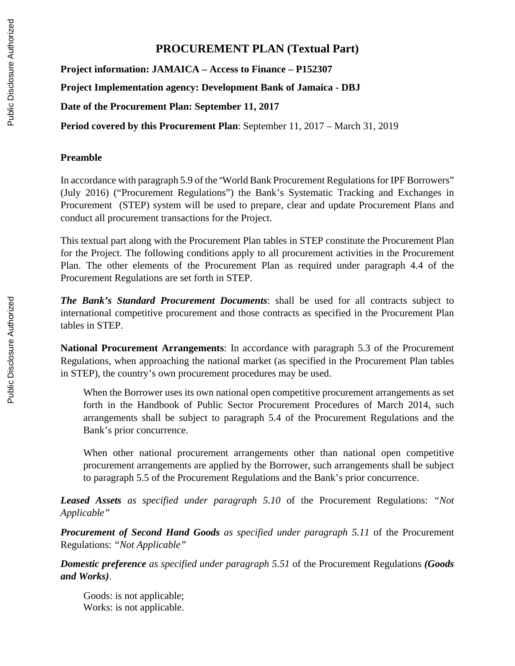## **PROCUREMENT PLAN (Textual Part)**

**Project information: JAMAICA – Access to Finance – P152307 Project Implementation agency: Development Bank of Jamaica - DBJ Date of the Procurement Plan: September 11, 2017**

**Period covered by this Procurement Plan**: September 11, 2017 – March 31, 2019

## **Preamble**

In accordance with paragraph 5.9 of the "World Bank Procurement Regulations for IPF Borrowers" (July 2016) ("Procurement Regulations") the Bank's Systematic Tracking and Exchanges in Procurement (STEP) system will be used to prepare, clear and update Procurement Plans and conduct all procurement transactions for the Project.

This textual part along with the Procurement Plan tables in STEP constitute the Procurement Plan for the Project. The following conditions apply to all procurement activities in the Procurement Plan. The other elements of the Procurement Plan as required under paragraph 4.4 of the Procurement Regulations are set forth in STEP.

*The Bank's Standard Procurement Documents*: shall be used for all contracts subject to international competitive procurement and those contracts as specified in the Procurement Plan tables in STEP.

**National Procurement Arrangements**: In accordance with paragraph 5.3 of the Procurement Regulations, when approaching the national market (as specified in the Procurement Plan tables in STEP), the country's own procurement procedures may be used.

When the Borrower uses its own national open competitive procurement arrangements as set forth in the Handbook of Public Sector Procurement Procedures of March 2014, such arrangements shall be subject to paragraph 5.4 of the Procurement Regulations and the Bank's prior concurrence.

When other national procurement arrangements other than national open competitive procurement arrangements are applied by the Borrower, such arrangements shall be subject to paragraph 5.5 of the Procurement Regulations and the Bank's prior concurrence.

*Leased Assets as specified under paragraph 5.10* of the Procurement Regulations: *"Not Applicable"*

*Procurement of Second Hand Goods as specified under paragraph 5.11* of the Procurement Regulations: *"Not Applicable"* 

*Domestic preference as specified under paragraph 5.51* of the Procurement Regulations *(Goods and Works)*.

Goods: is not applicable; Works: is not applicable.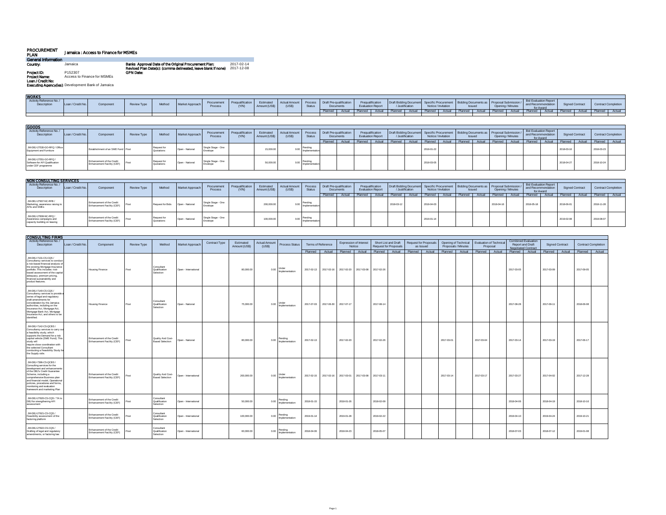| <b>PROCUREMENT</b><br><b>PLAN</b>         | <b>Jamaica: Access to Finance for MSMEs</b>              |                                                                                                                        |                          |
|-------------------------------------------|----------------------------------------------------------|------------------------------------------------------------------------------------------------------------------------|--------------------------|
| <b>General Information</b>                |                                                          |                                                                                                                        |                          |
| Country.                                  | Jamaica                                                  | Banks Approval Date of the Orlginal Procurement Plan:<br>Revised Plan Date(s): (comma delineated, leave blank if none) | 2017-02-14<br>2017-12-08 |
| Project ID:                               | P152307                                                  | <b>GPN Date:</b>                                                                                                       |                          |
| <b>Project Name:</b><br>Loan / Credit No: | Access to Finance for MSMEs                              |                                                                                                                        |                          |
|                                           | <b>Executing Agencyfles:</b> Development Bank of Jamaica |                                                                                                                        |                          |

| <b>WORKS</b>                           |                   |          |             |        |                 |                        |       |                            |               |                   |                                      |        |                                       |                                                |                                              |                                                                                    |                   |                                                     |                 |                            |  |
|----------------------------------------|-------------------|----------|-------------|--------|-----------------|------------------------|-------|----------------------------|---------------|-------------------|--------------------------------------|--------|---------------------------------------|------------------------------------------------|----------------------------------------------|------------------------------------------------------------------------------------|-------------------|-----------------------------------------------------|-----------------|----------------------------|--|
| Activity Reference No./<br>Description | Loan / Credit No. | Componen | Review Type | Method | Market Approach | Procurement<br>Process | (Y/N) | Fetimated<br>Amount (US\$) | Actual Amount | Process<br>Status | Draft Pre-qualification<br>Documents |        | Prequalification<br>Evaluation Report | <b>Draft Bidding Docume</b><br>/ Justification | Notice / Invitation                          | <b>Prent   Bidding Documents as   Proposal Submission /      </b><br><b>Issued</b> | Opening / Minutes | Bid Evaluation Report<br>and Recommendation         | Signed Contract | <b>Contract Completion</b> |  |
|                                        |                   |          |             |        |                 |                        |       |                            |               |                   |                                      | Actual | Planned Actual                        |                                                | Planned Actual Planned Actual Planned Actual |                                                                                    | Planned I         | Actual Planned Actual Planned Actual Planned Actual |                 |                            |  |
|                                        |                   |          |             |        |                 |                        |       |                            |               |                   |                                      |        |                                       |                                                |                                              |                                                                                    |                   |                                                     |                 |                            |  |
|                                        |                   |          |             |        |                 |                        |       |                            |               |                   |                                      |        |                                       |                                                |                                              |                                                                                    |                   |                                                     |                 |                            |  |

| <b>GOODS</b>                                                                   |                   |                                                         |                    |                          |                 |                               |                                  |                            |                        |                     |                                      |        |                                              |         |                 |                                                                                                |                |                                               |                                                          |        |                        |        |                            |  |
|--------------------------------------------------------------------------------|-------------------|---------------------------------------------------------|--------------------|--------------------------|-----------------|-------------------------------|----------------------------------|----------------------------|------------------------|---------------------|--------------------------------------|--------|----------------------------------------------|---------|-----------------|------------------------------------------------------------------------------------------------|----------------|-----------------------------------------------|----------------------------------------------------------|--------|------------------------|--------|----------------------------|--|
| Activity Reference No./<br>Description                                         | Loan / Credit No. | Component                                               | <b>Review Type</b> | Method                   | Market Approach | Procurement<br>Process        | <b>Prequalification</b><br>(Y/N) | Estimated<br>Amount (US\$) | Actual Amount<br>(USS) | Process<br>Status   | Draft Pre-qualification<br>Documents |        | Prequalification<br><b>Evaluation Report</b> |         | / Justification | Draft Bidding Document Specific Procurement   Bidding Documents as   Pr<br>Notice / Invitation | <b>Issued</b>  | <b>Proposal Submissi</b><br>Opening / Minutes | Bid Evaluation Report<br>and Recommendation<br>for Award |        | <b>Signed Contract</b> |        | <b>Contract Completion</b> |  |
|                                                                                |                   |                                                         |                    |                          |                 |                               |                                  |                            |                        |                     | Planned                              | Actual | Planned Actual                               | Planned | Actual          | Planned   Actual                                                                               | Planned Actual | Planned Actual                                | Planned                                                  | Actual | Planned                | Actual | Planned Actual             |  |
| JM-DBJ-27530-GO-RFQ / Office<br>Equipment and Furniture                        |                   | Establishment of an SME Fund Post                       |                    | Request for<br>Quotation | Open - National | I Single Stage - One          |                                  | 15,000.0                   |                        | nnlamani            |                                      |        |                                              |         |                 | 2018-01-22                                                                                     |                |                                               |                                                          |        | 2018-03-1              |        | 2018-03-23                 |  |
| JM-DBJ-27551-GO-RFQ /<br>Software for AFI Qualification<br>under CEF programme |                   | Enhancement of the Credit<br>Enhancement Facility (CEF) |                    | Request for<br>Quotation | Open - National | Single Stage - One<br>Envelop |                                  | 50,000.0                   |                        | 0.00 Implementation |                                      |        |                                              |         |                 | 2018-03-05                                                                                     |                |                                               |                                                          |        | 2018-04-2              |        | 2018-10-24                 |  |

| <b>NON CONSULTING SERVICES</b>                                                   |                   |                                                         |             |                         |                 |                                |                           |                            |                               |                              |                                      |        |                                              |        |            |                 |                                                                                                               |              |        |                   |        |                                                          |        |                        |        |                |                            |
|----------------------------------------------------------------------------------|-------------------|---------------------------------------------------------|-------------|-------------------------|-----------------|--------------------------------|---------------------------|----------------------------|-------------------------------|------------------------------|--------------------------------------|--------|----------------------------------------------|--------|------------|-----------------|---------------------------------------------------------------------------------------------------------------|--------------|--------|-------------------|--------|----------------------------------------------------------|--------|------------------------|--------|----------------|----------------------------|
| Activity Reference No./<br>Description                                           | Loan / Credit No. | Component                                               | Review Type | Method                  | Market Approach | Procurement<br>Process         | Prequalification<br>(N/N) | Estimated<br>Amount (US\$) | <b>Actual Amount</b><br>(USS) | Process<br>Status            | Draft Pre-qualification<br>Documents |        | Prequalification<br><b>Evaluation Report</b> |        |            | / Justification | Draft Bidding Document Specific Procurement Bidding Documents as Proposal Submission /<br>Notice / Invitation | <b>Ssued</b> |        | Opening / Minutes |        | Bid Evaluation Report<br>and Recommendation<br>for Award |        | <b>Signed Contract</b> |        |                | <b>Contract Completion</b> |
|                                                                                  |                   |                                                         |             |                         |                 |                                |                           |                            |                               |                              | Planned                              | Actual | Planned                                      | Actual | Planned    | Actual          | Planned Actual                                                                                                | Planned      | Actual | Planned           | Actual | Planned                                                  | Actual | Planned                | Actual | Planned Actual |                            |
| JM-DBJ-27907-NC-RFB /<br>Marketing, awareness raising to<br>AFIs and SMEs        |                   | Enhancement of the Credit<br>Enhancement Facility (CEF) |             | Request for Bids        | Open - Nationa  | Single Stage - One<br>:nvelopi |                           | 200,000.0                  |                               | mplements                    |                                      |        |                                              |        | 2018-03-12 |                 | 2018-04-03                                                                                                    |              |        | 2018-04-1         |        | 2018-05-18                                               |        | 2018-06-01             |        | 2018-11-28     |                            |
| JM-DBJ-27908-NC-RFQ /<br>Awareness campaigns and<br>capacity building on leasing |                   | Enhancement of the Credit<br>Enhancement Facility (CEF) |             | Request f<br>Quotations | Open - National | Single Stage - One<br>nvelone  |                           | 100,000.0                  |                               | Pending<br>0.00 mplementano. |                                      |        |                                              |        |            |                 | 2019-01-14                                                                                                    |              |        |                   |        |                                                          |        | 2019-02-06             |        | 2019-08-07     |                            |

| <b>CONSULTING FIRMS</b>                                                                                                                                                                                                                                                                                         |                   |                                                         |                    |                                             |                      |               |                            |                                |                                |                    |            |                       |                                         |                                                      |                                                        |                                             |                                            |                                                                       |                        |                            |  |
|-----------------------------------------------------------------------------------------------------------------------------------------------------------------------------------------------------------------------------------------------------------------------------------------------------------------|-------------------|---------------------------------------------------------|--------------------|---------------------------------------------|----------------------|---------------|----------------------------|--------------------------------|--------------------------------|--------------------|------------|-----------------------|-----------------------------------------|------------------------------------------------------|--------------------------------------------------------|---------------------------------------------|--------------------------------------------|-----------------------------------------------------------------------|------------------------|----------------------------|--|
| Activity Reference No./<br>Description                                                                                                                                                                                                                                                                          | Loan / Credit No. | Component                                               | <b>Review Type</b> | Method                                      | Market Approach      | Contract Type | Estimated<br>Amount (US\$) | <b>Actual Amount</b><br>(US\$) | Process Status                 | Terms of Reference |            |                       | <b>Expression of Interest</b><br>Notice | Short List and Draft<br><b>Request for Proposals</b> | <b>Request for Proposals</b><br>as Issued              | Opening of Technical<br>Proposals / Minutes | <b>Evaluation of Technical</b><br>Proposal | <b>Combined Evaluation</b><br>Report and Draft<br>Negotiated Contract | <b>Signed Contract</b> | <b>Contract Completion</b> |  |
|                                                                                                                                                                                                                                                                                                                 |                   |                                                         |                    |                                             |                      |               |                            |                                |                                | Planned Actual     |            |                       | Planned   Actual                        |                                                      | Planned   Actual   Planned   Actual   Planned   Actual |                                             | Planned   Actual   Planned   Actual        |                                                                       | Planned   Actual       | Planned   Actual           |  |
| JM-DBJ-7131-CS-CQS /<br>Consultancy services to conduct<br>a risk-based financial analysis of<br>the existing Mortgage Insurance<br>portfolio. This includes: risk-<br>based assessment of the capital<br>adequacy, premium pricing,<br>financial sustainability and<br>product features.                       |                   | <b>Housing Finance</b>                                  | Post               | Consultant<br>Qualification<br>Selection    | Open - International |               | 80,000.00                  | 0.00                           | <b>Under</b><br>Implementation | 2017-02-13         | 2017-02-16 | 2017-02-20 2017-03-08 |                                         | 2017-02-26                                           |                                                        |                                             |                                            | 2017-03-05                                                            | 2017-03-09             | 2017-09-05                 |  |
| JM-DBJ-7140-CS-CQS /<br>Consultancy services to provide:<br>series of legal and regulatory<br>draft amendments for<br>consideration by the Jamaica<br>authorities, including on the<br>Insurance Act, Mortgage Act,<br>Mortgage Bank Act, Mortgage<br>Insurance Act, and others to be<br>identified.            |                   | <b>Housing Finance</b>                                  | Post               | Consultant<br>Qualification<br>Selection    | Open - National      |               | 75,000.00                  | 0.00                           | Under<br>Implementation        | 2017-07-03         | 2017-06-30 | 2017-07-17            |                                         | 2017-08-14                                           |                                                        |                                             |                                            | 2017-08-28                                                            | 2017-09-11             | 2018-06-08                 |  |
| JM-DBJ-7142-CS-QCBS /<br>Consultancy services to carry ou<br>a feasibility study, which<br>supports the Demand for a risk<br>capital vehicle (SME Fund). This<br>study will<br>require close coordination with<br>the selected Consultant<br>conducting a Feasibility Study fo<br>the Supply side.              |                   | Enhancement of the Credit<br>Enhancement Facility (CEF) | Post               | Quality And Cost-<br><b>Based Selection</b> | Open - National      |               | 80,000.00                  | 0.00                           | Pending<br>Implementation      | 2017-02-13         |            | 2017-02-20            |                                         | 2017-02-26                                           |                                                        | 2017-03-01                                  | 2017-03-04                                 | 2017-03-14                                                            | 2017-03-19             | 2017-06-17                 |  |
| JM-DBJ-7396-CS-QCBS /<br>Consulting services for the<br>development and enhancements<br>of the DBJ's Credit Guarantee<br>Scheme, including a<br>comprehensive Business plan<br>and financial model. Operational<br>policies, procedures and forms,<br>monitoring and evaluation<br>framework and marketing Plan |                   | Enhancement of the Credit<br>Enhancement Facility (CEF) | Post               | Quality And Cost-<br><b>Based Selection</b> | Open - International |               | 200,000.00                 | 0.00                           | Under<br>Implementation        | 2017-02-15         | 2017-02-16 | 2017-03-01            | 2017-03-08                              | 2017-03-1                                            |                                                        | 2017-03-14                                  | 2017-03-17                                 | 2017-03-27                                                            | 2017-04-02             | 2017-12-28                 |  |
| JM-DBJ-27920-CS-CQS / TA to<br>DBJ for strengthening AFI<br>assessment                                                                                                                                                                                                                                          |                   | Enhancement of the Credit<br>Enhancement Facility (CEF) | Post               | Consultant<br>Qualification<br>Selection    | Open - International |               | 50,000.00                  | 0.00                           | Pending<br>Implementation      | 2018-01-15         |            | 2018-01-26            |                                         | 2018-02-09                                           |                                                        |                                             |                                            | 2018-04-06                                                            | 2018-04-19             | 2018-10-16                 |  |
| JM-DBJ-27921-CS-CQS /<br>Feasibility assessment of the<br>factoring platform                                                                                                                                                                                                                                    |                   | Enhancement of the Credit<br>Enhancement Facility (CEF) | Post               | Consultant<br>Qualification<br>Selection    | Open - International |               | 100,000.00                 | 0.00                           | Pendina<br>Implementation      | 2019-01-14         |            | 2019-01-28            |                                         | 2019-02-22                                           |                                                        |                                             |                                            | 2019-04-10                                                            | 2019-04-24             | 2019-10-21                 |  |
| JM-DBJ-27922-CS-CQS /<br>Drafting of legal and regulatory<br>amendments, or factoring law                                                                                                                                                                                                                       |                   | Enhancement of the Credit<br>Enhancement Facility (CEF) | Post               | Consultant<br>Qualification<br>Selection    | Open - International |               | 60,000.00                  | 0.00                           | Pending<br>Implementation      | 2018-04-06         |            | 2018-04-23            |                                         | 2018-05-07                                           |                                                        |                                             |                                            | 2018-07-03                                                            | 2018-07-12             | 2019-01-08                 |  |